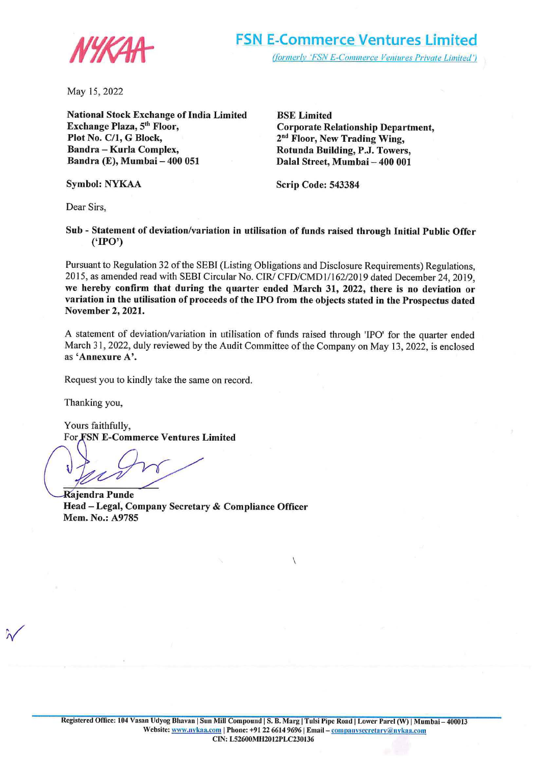

May l5, 2022

**National Stock Exchange of India Limited**  Exchange Plaza, 5<sup>th</sup> Floor, **Plot No. C/1, G Block, Bandra** - **Kurla Complex, Bandra (E), Mumbai** - **400 051** 

**BSE Limited Corporate Relationship Department, 2nd Floor, New Trading Wing, Rotunda Building, P.J. Towers, Dalal Street, Mumbai- 400 001** 

**Symbol: NYKAA** 

**Scrip Code: 543384** 

Dear Sirs,

**Sub** - **Statement of deviation/variation in utilisation of funds raised through Initial Public Offer ('IPO')** 

Pursuant to Regulation 32 of the SEBI (Listing Obligations and Disclosure Requirements) Regulations, 2015, as amended read with SEBI Circular No. CIR/ CFD/CMDI/162/2019 dated December 24, 2019, **we hereby confirm that during the quarter ended March 31, 2022, there is no deviation or variation in the utilisation of proceeds of the IPO from the objects stated in the Prospectus dated November 2, 2021.** 

A statement of deviation/variation in utilisation of funds raised through 'IPO' for the quarter ended March 31, 2022, duly reviewed by the Audit Committee of the Company on May 13, 2022, is enclosed as **'Annexure A'.** 

Request you to kindly take the same on record.

Thanking you,

Yours faithfully, For **SN E-Commerce Ventures Limited** 

**Q jendra Punde Head -Legal, Company Secretary** & **Compliance Officer Mem. No.: A9785** 

 $\sqrt{2}$